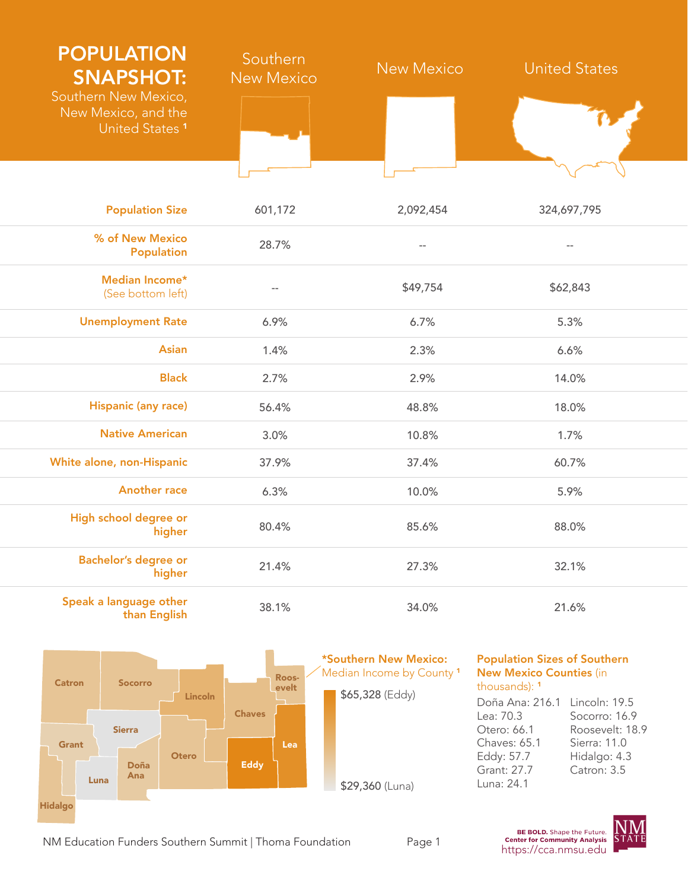| <b>POPULATION</b><br><b>SNAPSHOT:</b><br>Southern New Mexico,<br>New Mexico, and the<br>United States <sup>1</sup> | Southern<br><b>New Mexico</b> | <b>New Mexico</b>        | <b>United States</b> |
|--------------------------------------------------------------------------------------------------------------------|-------------------------------|--------------------------|----------------------|
|                                                                                                                    |                               |                          |                      |
| <b>Population Size</b>                                                                                             | 601,172                       | 2,092,454                | 324,697,795          |
| % of New Mexico<br><b>Population</b>                                                                               | 28.7%                         | $\overline{\phantom{a}}$ | $\frac{1}{2}$        |
| Median Income*<br>(See bottom left)                                                                                | $-$                           | \$49,754                 | \$62,843             |
| <b>Unemployment Rate</b>                                                                                           | 6.9%                          | 6.7%                     | 5.3%                 |
| <b>Asian</b>                                                                                                       | 1.4%                          | 2.3%                     | 6.6%                 |
| <b>Black</b>                                                                                                       | 2.7%                          | 2.9%                     | 14.0%                |
| <b>Hispanic (any race)</b>                                                                                         | 56.4%                         | 48.8%                    | 18.0%                |
| <b>Native American</b>                                                                                             | 3.0%                          | 10.8%                    | 1.7%                 |
| White alone, non-Hispanic                                                                                          | 37.9%                         | 37.4%                    | 60.7%                |
| <b>Another race</b>                                                                                                | 6.3%                          | 10.0%                    | 5.9%                 |
| High school degree or<br>higher                                                                                    | 80.4%                         | 85.6%                    | 88.0%                |
| <b>Bachelor's degree or</b><br>higher                                                                              | 21.4%                         | 27.3%                    | 32.1%                |
| Speak a language other<br>than English                                                                             | 38.1%                         | 34.0%                    | 21.6%                |



Population Sizes of Southern New Mexico Counties (in thousands): <sup>1</sup>

```
Doña Ana: 216.1
Lincoln: 19.5 
Lea: 70.3
Otero: 66.1
Chaves: 65.1
Eddy: 57.7
Grant: 27.7
Luna: 24.1
                  Socorro: 16.9
                  Roosevelt: 18.9
                  Sierra: 11.0
                  Hidalgo: 4.3
                  Catron: 3.5
```


https://cca.nmsu.edu NM Education Funders Southern Summit | Thoma Foundation Page 1 The Community Analysis<br>https://cca.nmsu.edu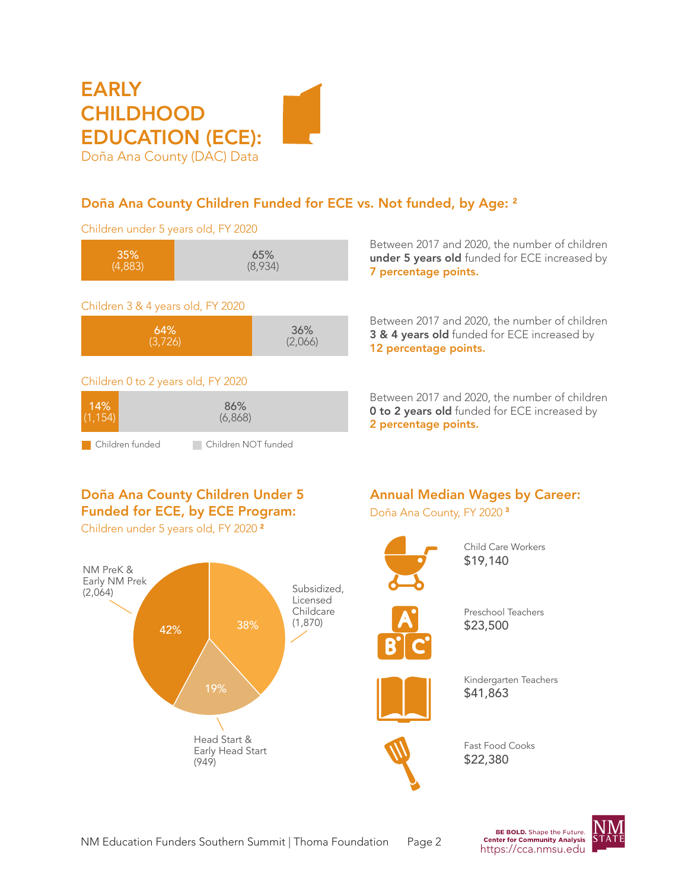# **EARLY CHILDHOOD** EDUCATION (ECE): Doña Ana County (DAC) Data

## Doña Ana County Children Funded for ECE vs. Not funded, by Age: <sup>2</sup>

Children under 5 years old, FY 2020

| 35%     | 65%     |
|---------|---------|
| (4,883) | (8,934) |
|         |         |

#### Children 3 & 4 years old, FY 2020



#### Children 0 to 2 years old, FY 2020

| 14%             | 86%                 |  |
|-----------------|---------------------|--|
| (1.154)         | (6,868)             |  |
| Children funded | Children NOT funded |  |

Between 2017 and 2020, the number of children under 5 years old funded for ECE increased by 7 percentage points.

Between 2017 and 2020, the number of children 3 & 4 years old funded for ECE increased by 12 percentage points.

Between 2017 and 2020, the number of children **0 to 2 years old** funded for ECE increased by 2 percentage points.

## Doña Ana County Children Under 5 Funded for ECE, by ECE Program:

Children under 5 years old, FY 2020 <sup>2</sup>



## Annual Median Wages by Career:

Doña Ana County, FY 2020 <sup>3</sup>



Child Care Workers \$19,140



Preschool Teachers \$23,500



Kindergarten Teachers \$41,863



Fast Food Cooks \$22,380

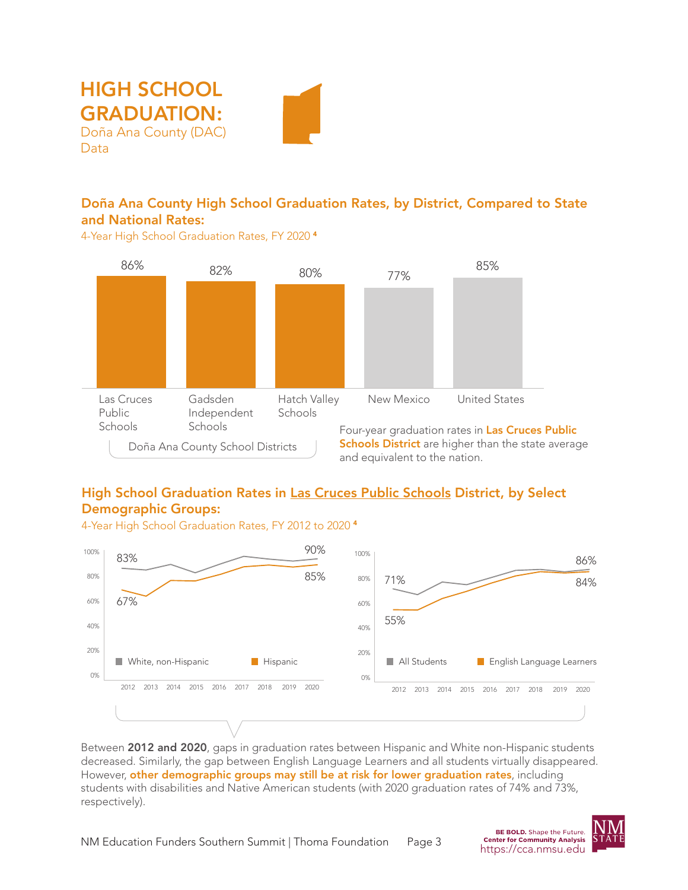



4-Year High School Graduation Rates, FY 2020 <sup>4</sup>



## High School Graduation Rates in Las Cruces Public Schools District, by Select Demographic Groups:

4-Year High School Graduation Rates, FY 2012 to 2020 <sup>4</sup>



Between 2012 and 2020, gaps in graduation rates between Hispanic and White non-Hispanic students decreased. Similarly, the gap between English Language Learners and all students virtually disappeared. However, other demographic groups may still be at risk for lower graduation rates, including students with disabilities and Native American students (with 2020 graduation rates of 74% and 73%, respectively).

**BE BOLD.** Shape the Future.

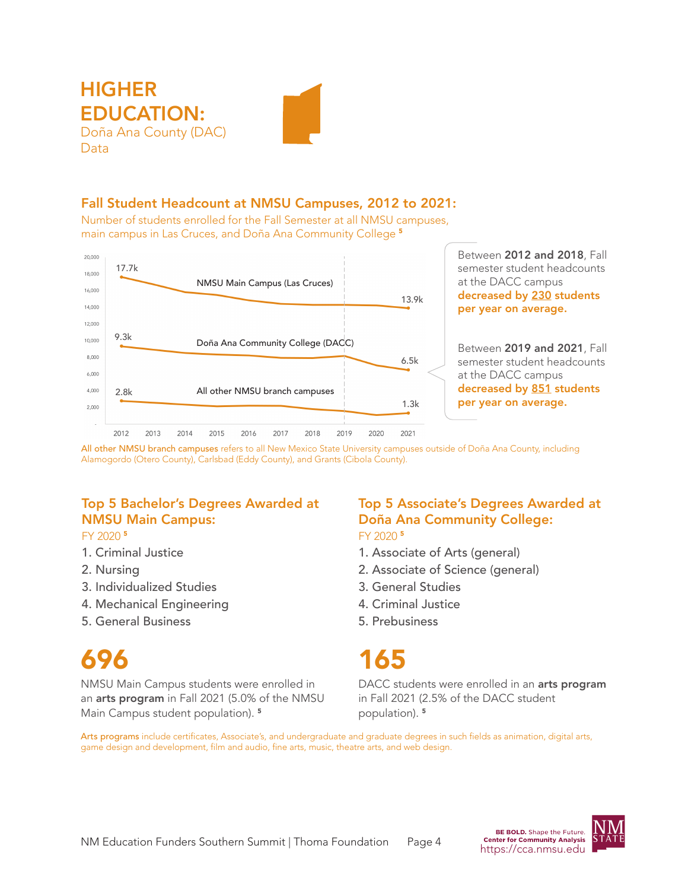

#### Fall Student Headcount at NMSU Campuses, 2012 to 2021:

Number of students enrolled for the Fall Semester at all NMSU campuses, main campus in Las Cruces, and Doña Ana Community College <sup>5</sup>



All other NMSU branch campuses refers to all New Mexico State University campuses outside of Doña Ana County, including Alamogordo (Otero County), Carlsbad (Eddy County), and Grants (Cibola County).

## Top 5 Bachelor's Degrees Awarded at NMSU Main Campus:

#### FY 2020 <sup>5</sup>

- 1. Criminal Justice
- 2. Nursing
- 3. Individualized Studies
- 4. Mechanical Engineering
- 5. General Business

# 696

NMSU Main Campus students were enrolled in an arts program in Fall 2021 (5.0% of the NMSU Main Campus student population). <sup>5</sup>

#### Top 5 Associate's Degrees Awarded at Doña Ana Community College: FY 2020 <sup>5</sup>

- 1. Associate of Arts (general)
- 2. Associate of Science (general)
- 3. General Studies
- 4. Criminal Justice
- 5. Prebusiness

# 165

DACC students were enrolled in an arts program in Fall 2021 (2.5% of the DACC student population). <sup>5</sup>

Arts programs include certificates, Associate's, and undergraduate and graduate degrees in such fields as animation, digital arts, game design and development, film and audio, fine arts, music, theatre arts, and web design.

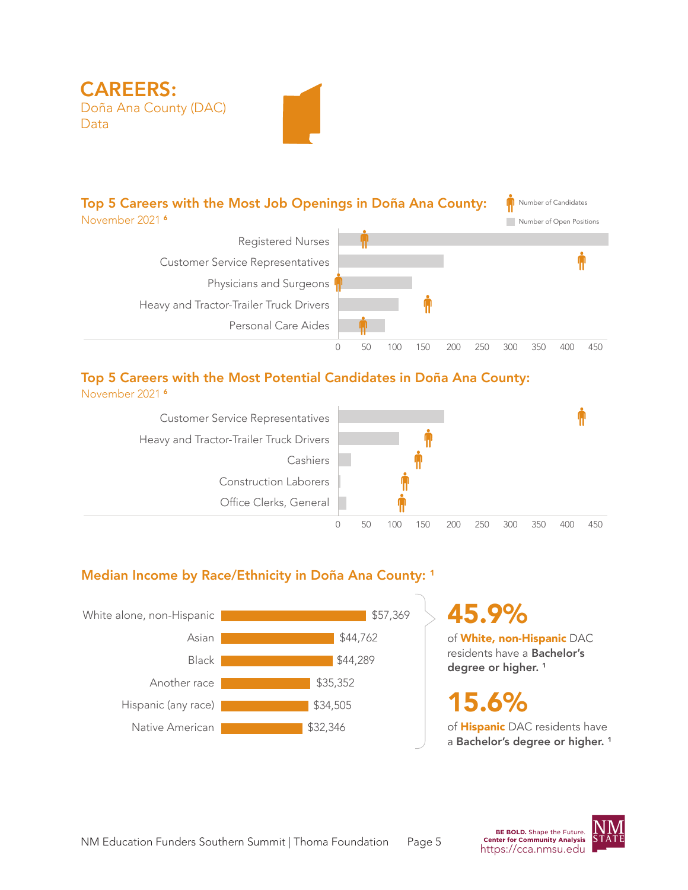

## Top 5 Careers with the Most Potential Candidates in Doña Ana County:

November 2021 <sup>6</sup>



## Median Income by Race/Ethnicity in Doña Ana County: <sup>1</sup>



45.9%

of White, non-Hispanic DAC residents have a Bachelor's degree or higher.<sup>1</sup>

15.6%

of **Hispanic** DAC residents have a Bachelor's degree or higher.<sup>1</sup>